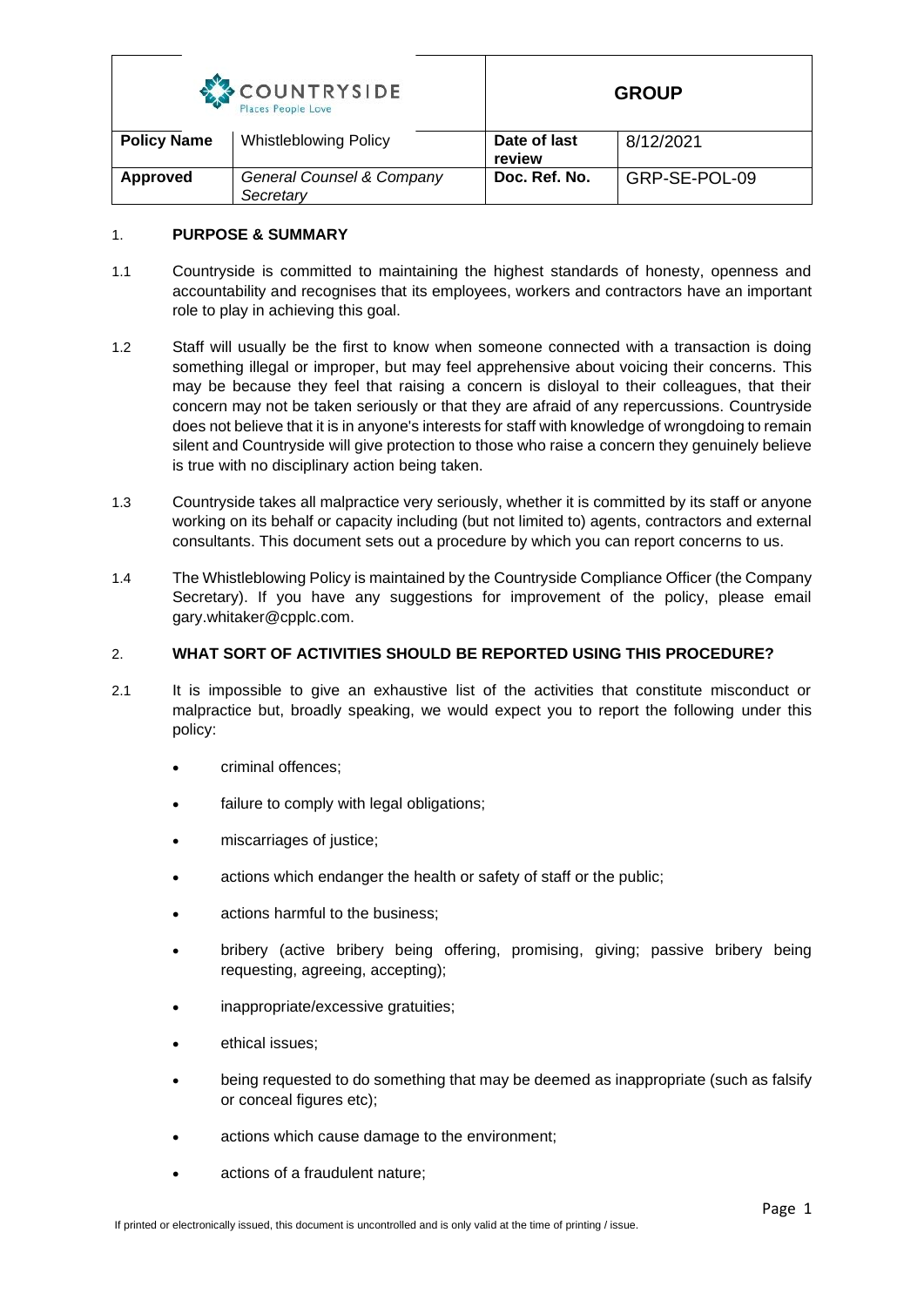| COUNTRYSIDE        |
|--------------------|
| Places People Love |

|                    | Places People Love                     |                        |               |
|--------------------|----------------------------------------|------------------------|---------------|
| <b>Policy Name</b> | <b>Whistleblowing Policy</b>           | Date of last<br>review | 8/12/2021     |
| Approved           | General Counsel & Company<br>Secretary | Doc. Ref. No.          | GRP-SE-POL-09 |

### 1. **PURPOSE & SUMMARY**

- 1.1 Countryside is committed to maintaining the highest standards of honesty, openness and accountability and recognises that its employees, workers and contractors have an important role to play in achieving this goal.
- 1.2 Staff will usually be the first to know when someone connected with a transaction is doing something illegal or improper, but may feel apprehensive about voicing their concerns. This may be because they feel that raising a concern is disloyal to their colleagues, that their concern may not be taken seriously or that they are afraid of any repercussions. Countryside does not believe that it is in anyone's interests for staff with knowledge of wrongdoing to remain silent and Countryside will give protection to those who raise a concern they genuinely believe is true with no disciplinary action being taken.
- 1.3 Countryside takes all malpractice very seriously, whether it is committed by its staff or anyone working on its behalf or capacity including (but not limited to) agents, contractors and external consultants. This document sets out a procedure by which you can report concerns to us.
- 1.4 The Whistleblowing Policy is maintained by the Countryside Compliance Officer (the Company Secretary). If you have any suggestions for improvement of the policy, please email gary.whitaker@cpplc.com.

## 2. **WHAT SORT OF ACTIVITIES SHOULD BE REPORTED USING THIS PROCEDURE?**

- 2.1 It is impossible to give an exhaustive list of the activities that constitute misconduct or malpractice but, broadly speaking, we would expect you to report the following under this policy:
	- criminal offences;
	- failure to comply with legal obligations;
	- miscarriages of justice;
	- actions which endanger the health or safety of staff or the public;
	- actions harmful to the business;
	- bribery (active bribery being offering, promising, giving; passive bribery being requesting, agreeing, accepting);
	- inappropriate/excessive gratuities;
	- ethical issues;
	- being requested to do something that may be deemed as inappropriate (such as falsify or conceal figures etc);
	- actions which cause damage to the environment;
	- actions of a fraudulent nature;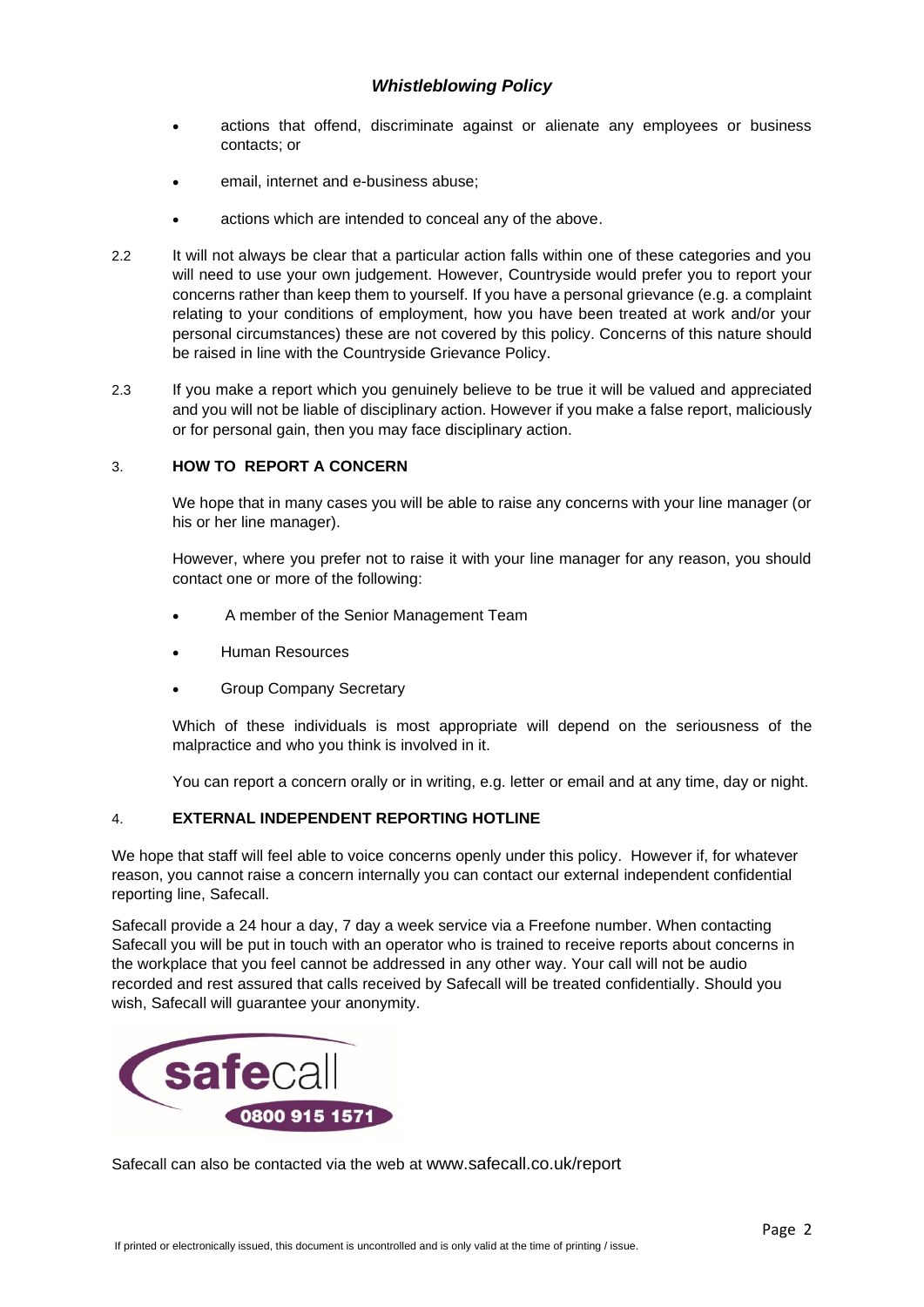- actions that offend, discriminate against or alienate any employees or business contacts; or
- email, internet and e-business abuse;
- actions which are intended to conceal any of the above.
- 2.2 It will not always be clear that a particular action falls within one of these categories and you will need to use your own judgement. However, Countryside would prefer you to report your concerns rather than keep them to yourself. If you have a personal grievance (e.g. a complaint relating to your conditions of employment, how you have been treated at work and/or your personal circumstances) these are not covered by this policy. Concerns of this nature should be raised in line with the Countryside Grievance Policy.
- 2.3 If you make a report which you genuinely believe to be true it will be valued and appreciated and you will not be liable of disciplinary action. However if you make a false report, maliciously or for personal gain, then you may face disciplinary action.

### 3. **HOW TO REPORT A CONCERN**

We hope that in many cases you will be able to raise any concerns with your line manager (or his or her line manager).

However, where you prefer not to raise it with your line manager for any reason, you should contact one or more of the following:

- A member of the Senior Management Team
- Human Resources
- Group Company Secretary

Which of these individuals is most appropriate will depend on the seriousness of the malpractice and who you think is involved in it.

You can report a concern orally or in writing, e.g. letter or email and at any time, day or night.

#### 4. **EXTERNAL INDEPENDENT REPORTING HOTLINE**

We hope that staff will feel able to voice concerns openly under this policy. However if, for whatever reason, you cannot raise a concern internally you can contact our external independent confidential reporting line, Safecall.

Safecall provide a 24 hour a day, 7 day a week service via a Freefone number. When contacting Safecall you will be put in touch with an operator who is trained to receive reports about concerns in the workplace that you feel cannot be addressed in any other way. Your call will not be audio recorded and rest assured that calls received by Safecall will be treated confidentially. Should you wish, Safecall will guarantee your anonymity.



Safecall can also be contacted via the web at [www.safecall.co.uk/report](http://www.safecall.co.uk/report)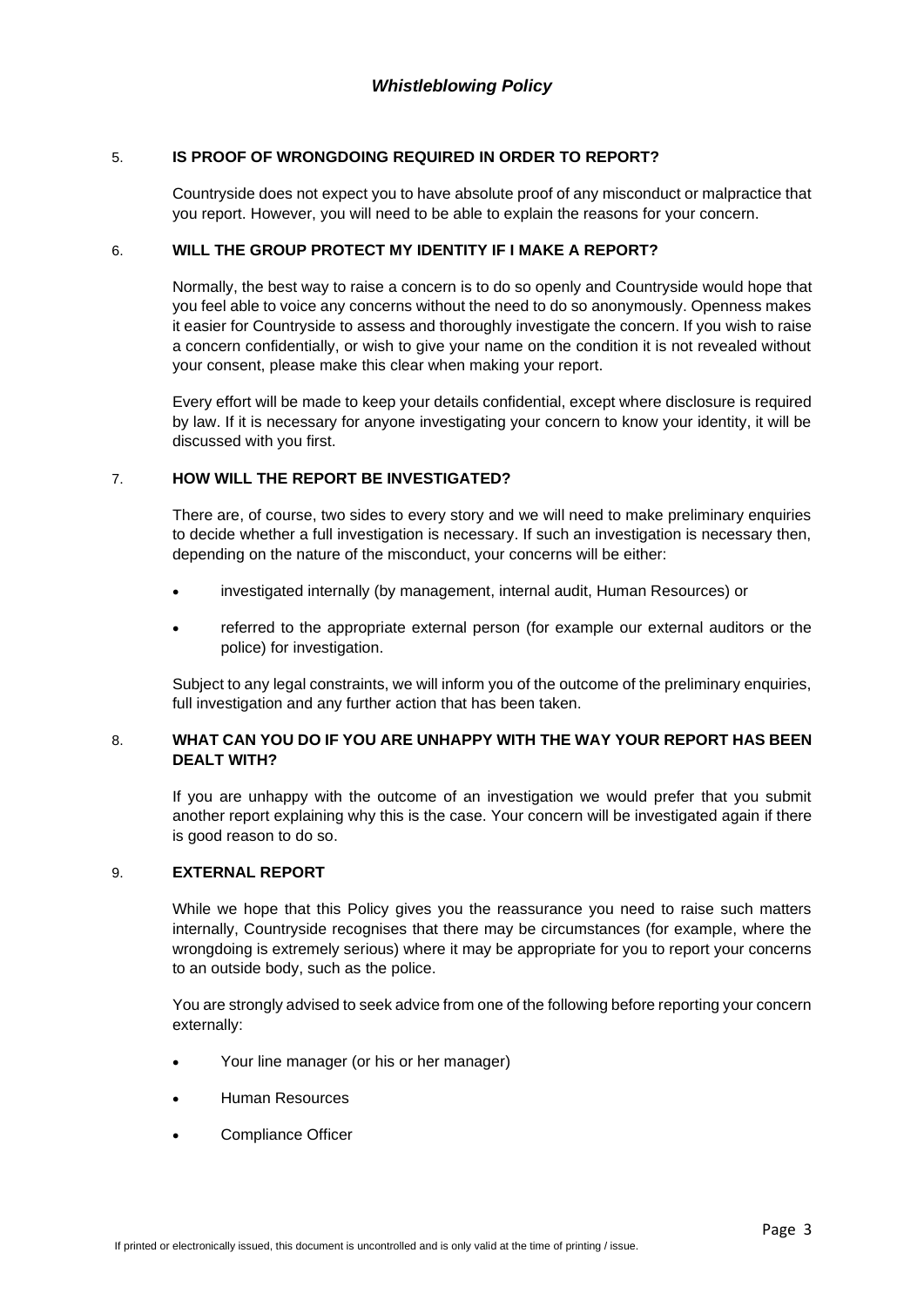#### 5. **IS PROOF OF WRONGDOING REQUIRED IN ORDER TO REPORT?**

Countryside does not expect you to have absolute proof of any misconduct or malpractice that you report. However, you will need to be able to explain the reasons for your concern.

#### 6. **WILL THE GROUP PROTECT MY IDENTITY IF I MAKE A REPORT?**

Normally, the best way to raise a concern is to do so openly and Countryside would hope that you feel able to voice any concerns without the need to do so anonymously. Openness makes it easier for Countryside to assess and thoroughly investigate the concern. If you wish to raise a concern confidentially, or wish to give your name on the condition it is not revealed without your consent, please make this clear when making your report.

Every effort will be made to keep your details confidential, except where disclosure is required by law. If it is necessary for anyone investigating your concern to know your identity, it will be discussed with you first.

#### 7. **HOW WILL THE REPORT BE INVESTIGATED?**

There are, of course, two sides to every story and we will need to make preliminary enquiries to decide whether a full investigation is necessary. If such an investigation is necessary then, depending on the nature of the misconduct, your concerns will be either:

- investigated internally (by management, internal audit, Human Resources) or
- referred to the appropriate external person (for example our external auditors or the police) for investigation.

Subject to any legal constraints, we will inform you of the outcome of the preliminary enquiries, full investigation and any further action that has been taken.

#### 8. **WHAT CAN YOU DO IF YOU ARE UNHAPPY WITH THE WAY YOUR REPORT HAS BEEN DEALT WITH?**

If you are unhappy with the outcome of an investigation we would prefer that you submit another report explaining why this is the case. Your concern will be investigated again if there is good reason to do so.

#### 9. **EXTERNAL REPORT**

While we hope that this Policy gives you the reassurance you need to raise such matters internally, Countryside recognises that there may be circumstances (for example, where the wrongdoing is extremely serious) where it may be appropriate for you to report your concerns to an outside body, such as the police.

You are strongly advised to seek advice from one of the following before reporting your concern externally:

- Your line manager (or his or her manager)
- Human Resources
- Compliance Officer